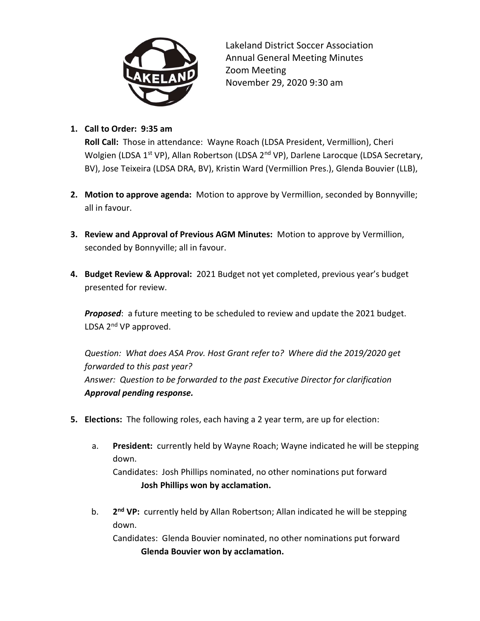

Lakeland District Soccer Association Annual General Meeting Minutes Zoom Meeting November 29, 2020 9:30 am

## 1. Call to Order: 9:35 am

Roll Call: Those in attendance: Wayne Roach (LDSA President, Vermillion), Cheri Wolgien (LDSA 1<sup>st</sup> VP), Allan Robertson (LDSA 2<sup>nd</sup> VP), Darlene Larocque (LDSA Secretary, BV), Jose Teixeira (LDSA DRA, BV), Kristin Ward (Vermillion Pres.), Glenda Bouvier (LLB),

- 2. Motion to approve agenda: Motion to approve by Vermillion, seconded by Bonnyville; all in favour.
- 3. Review and Approval of Previous AGM Minutes: Motion to approve by Vermillion, seconded by Bonnyville; all in favour.
- 4. Budget Review & Approval: 2021 Budget not yet completed, previous year's budget presented for review.

Proposed: a future meeting to be scheduled to review and update the 2021 budget. LDSA  $2^{nd}$  VP approved.

Question: What does ASA Prov. Host Grant refer to? Where did the 2019/2020 get forwarded to this past year? Answer: Question to be forwarded to the past Executive Director for clarification Approval pending response.

- 5. Elections: The following roles, each having a 2 year term, are up for election:
	- a. President: currently held by Wayne Roach; Wayne indicated he will be stepping down.

Candidates: Josh Phillips nominated, no other nominations put forward Josh Phillips won by acclamation.

b. 2<sup>nd</sup> VP: currently held by Allan Robertson; Allan indicated he will be stepping down.

Candidates: Glenda Bouvier nominated, no other nominations put forward Glenda Bouvier won by acclamation.